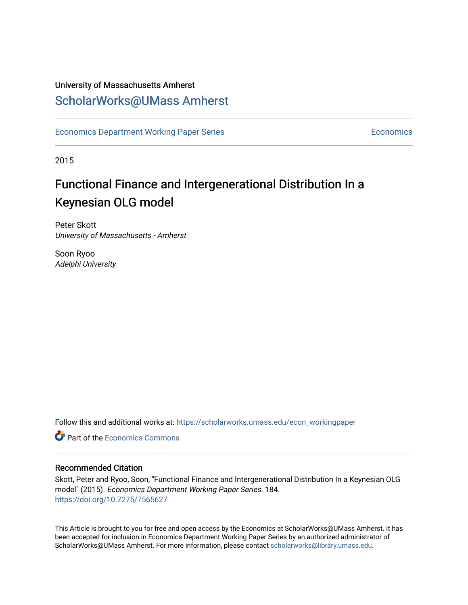# University of Massachusetts Amherst [ScholarWorks@UMass Amherst](https://scholarworks.umass.edu/)

[Economics Department Working Paper Series](https://scholarworks.umass.edu/econ_workingpaper) **Economics** Economics

2015

# Functional Finance and Intergenerational Distribution In a Keynesian OLG model

Peter Skott University of Massachusetts - Amherst

Soon Ryoo Adelphi University

Follow this and additional works at: [https://scholarworks.umass.edu/econ\\_workingpaper](https://scholarworks.umass.edu/econ_workingpaper?utm_source=scholarworks.umass.edu%2Fecon_workingpaper%2F184&utm_medium=PDF&utm_campaign=PDFCoverPages) 

**C** Part of the [Economics Commons](http://network.bepress.com/hgg/discipline/340?utm_source=scholarworks.umass.edu%2Fecon_workingpaper%2F184&utm_medium=PDF&utm_campaign=PDFCoverPages)

# Recommended Citation

Skott, Peter and Ryoo, Soon, "Functional Finance and Intergenerational Distribution In a Keynesian OLG model" (2015). Economics Department Working Paper Series. 184. <https://doi.org/10.7275/7565627>

This Article is brought to you for free and open access by the Economics at ScholarWorks@UMass Amherst. It has been accepted for inclusion in Economics Department Working Paper Series by an authorized administrator of ScholarWorks@UMass Amherst. For more information, please contact [scholarworks@library.umass.edu.](mailto:scholarworks@library.umass.edu)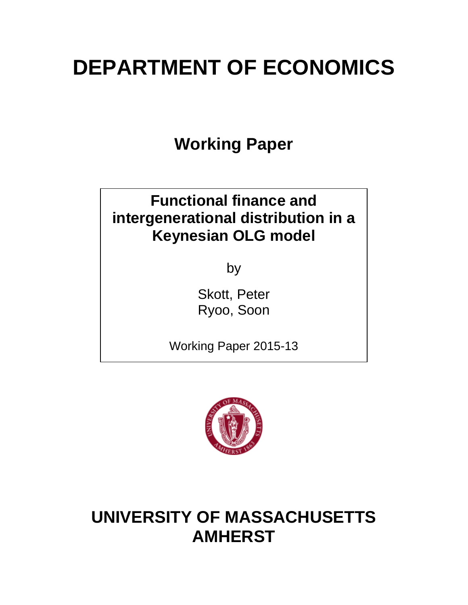# **DEPARTMENT OF ECONOMICS**

**Working Paper**

# **Functional finance and intergenerational distribution in a Keynesian OLG model**

by

Skott, Peter Ryoo, Soon

Working Paper 2015-13



# **UNIVERSITY OF MASSACHUSETTS AMHERST**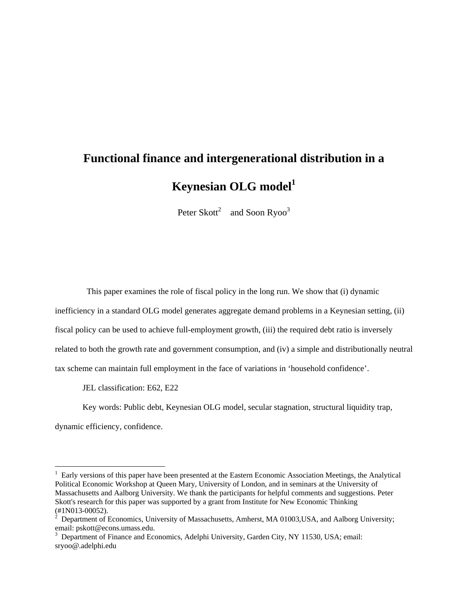# **Functional finance and intergenerational distribution in a Keynesian OLG model**<sup>1</sup>

Peter Skott<sup>2</sup> and Soon Ryoo<sup>3</sup>

This paper examines the role of fiscal policy in the long run. We show that (i) dynamic

inefficiency in a standard OLG model generates aggregate demand problems in a Keynesian setting, (ii)

fiscal policy can be used to achieve full-employment growth, (iii) the required debt ratio is inversely

related to both the growth rate and government consumption, and (iv) a simple and distributionally neutral

tax scheme can maintain full employment in the face of variations in 'household confidence'.

JEL classification: E62, E22

Key words: Public debt, Keynesian OLG model, secular stagnation, structural liquidity trap, dynamic efficiency, confidence.

<sup>&</sup>lt;sup>1</sup> Early versions of this paper have been presented at the Eastern Economic Association Meetings, the Analytical Political Economic Workshop at Queen Mary, University of London, and in seminars at the University of Massachusetts and Aalborg University. We thank the participants for helpful comments and suggestions. Peter Skott's research for this paper was supported by a grant from Institute for New Economic Thinking (#1N013-00052).<br><sup>2</sup> Department of Economics, University of Massachusetts, Amherst, MA 01003,USA, and Aalborg University;

email: pskott@econs.umass.edu.

<sup>&</sup>lt;sup>3</sup> Department of Finance and Economics, Adelphi University, Garden City, NY 11530, USA; email: sryoo@.adelphi.edu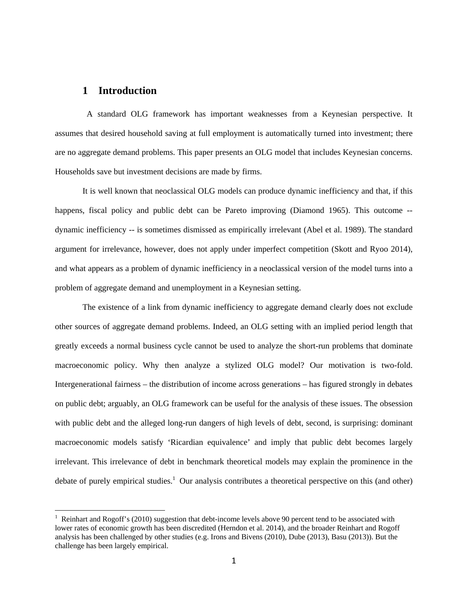### **1 Introduction**

 A standard OLG framework has important weaknesses from a Keynesian perspective. It assumes that desired household saving at full employment is automatically turned into investment; there are no aggregate demand problems. This paper presents an OLG model that includes Keynesian concerns. Households save but investment decisions are made by firms.

It is well known that neoclassical OLG models can produce dynamic inefficiency and that, if this happens, fiscal policy and public debt can be Pareto improving (Diamond 1965). This outcome -dynamic inefficiency -- is sometimes dismissed as empirically irrelevant (Abel et al. 1989). The standard argument for irrelevance, however, does not apply under imperfect competition (Skott and Ryoo 2014), and what appears as a problem of dynamic inefficiency in a neoclassical version of the model turns into a problem of aggregate demand and unemployment in a Keynesian setting.

The existence of a link from dynamic inefficiency to aggregate demand clearly does not exclude other sources of aggregate demand problems. Indeed, an OLG setting with an implied period length that greatly exceeds a normal business cycle cannot be used to analyze the short-run problems that dominate macroeconomic policy. Why then analyze a stylized OLG model? Our motivation is two-fold. Intergenerational fairness – the distribution of income across generations – has figured strongly in debates on public debt; arguably, an OLG framework can be useful for the analysis of these issues. The obsession with public debt and the alleged long-run dangers of high levels of debt, second, is surprising: dominant macroeconomic models satisfy 'Ricardian equivalence' and imply that public debt becomes largely irrelevant. This irrelevance of debt in benchmark theoretical models may explain the prominence in the debate of purely empirical studies.<sup>1</sup> Our analysis contributes a theoretical perspective on this (and other)

<sup>&</sup>lt;sup>1</sup> Reinhart and Rogoff's (2010) suggestion that debt-income levels above 90 percent tend to be associated with lower rates of economic growth has been discredited (Herndon et al. 2014), and the broader Reinhart and Rogoff analysis has been challenged by other studies (e.g. Irons and Bivens (2010), Dube (2013), Basu (2013)). But the challenge has been largely empirical.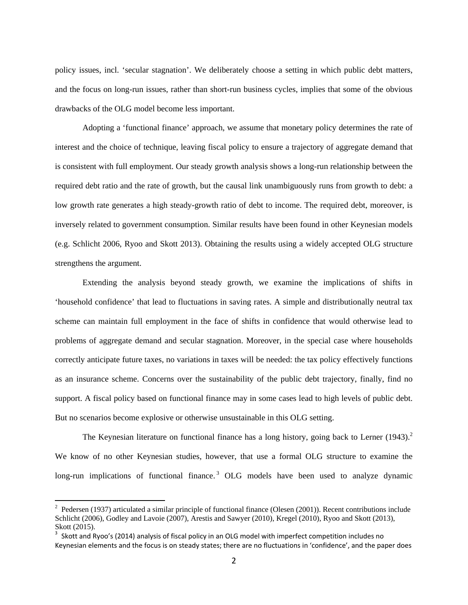policy issues, incl. 'secular stagnation'. We deliberately choose a setting in which public debt matters, and the focus on long-run issues, rather than short-run business cycles, implies that some of the obvious drawbacks of the OLG model become less important.

Adopting a 'functional finance' approach, we assume that monetary policy determines the rate of interest and the choice of technique, leaving fiscal policy to ensure a trajectory of aggregate demand that is consistent with full employment. Our steady growth analysis shows a long-run relationship between the required debt ratio and the rate of growth, but the causal link unambiguously runs from growth to debt: a low growth rate generates a high steady-growth ratio of debt to income. The required debt, moreover, is inversely related to government consumption. Similar results have been found in other Keynesian models (e.g. Schlicht 2006, Ryoo and Skott 2013). Obtaining the results using a widely accepted OLG structure strengthens the argument.

Extending the analysis beyond steady growth, we examine the implications of shifts in 'household confidence' that lead to fluctuations in saving rates. A simple and distributionally neutral tax scheme can maintain full employment in the face of shifts in confidence that would otherwise lead to problems of aggregate demand and secular stagnation. Moreover, in the special case where households correctly anticipate future taxes, no variations in taxes will be needed: the tax policy effectively functions as an insurance scheme. Concerns over the sustainability of the public debt trajectory, finally, find no support. A fiscal policy based on functional finance may in some cases lead to high levels of public debt. But no scenarios become explosive or otherwise unsustainable in this OLG setting.

The Keynesian literature on functional finance has a long history, going back to Lerner  $(1943)<sup>2</sup>$ We know of no other Keynesian studies, however, that use a formal OLG structure to examine the long-run implications of functional finance.<sup>3</sup> OLG models have been used to analyze dynamic

 $2^2$  Pedersen (1937) articulated a similar principle of functional finance (Olesen (2001)). Recent contributions include Schlicht (2006), Godley and Lavoie (2007), Arestis and Sawyer (2010), Kregel (2010), Ryoo and Skott (2013), Skott (2015).

 $3$  Skott and Ryoo's (2014) analysis of fiscal policy in an OLG model with imperfect competition includes no Keynesian elements and the focus is on steady states; there are no fluctuations in 'confidence', and the paper does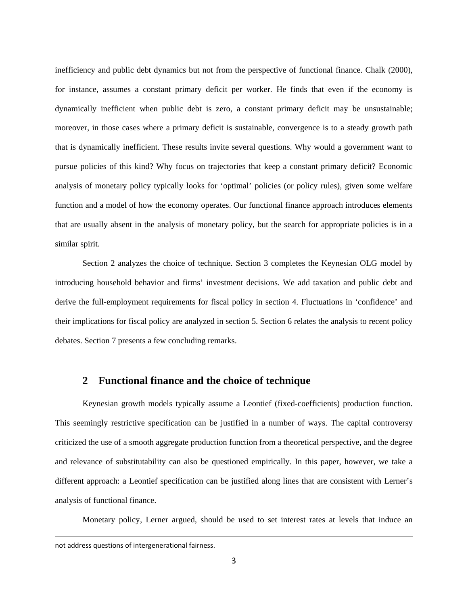inefficiency and public debt dynamics but not from the perspective of functional finance. Chalk (2000), for instance, assumes a constant primary deficit per worker. He finds that even if the economy is dynamically inefficient when public debt is zero, a constant primary deficit may be unsustainable; moreover, in those cases where a primary deficit is sustainable, convergence is to a steady growth path that is dynamically inefficient. These results invite several questions. Why would a government want to pursue policies of this kind? Why focus on trajectories that keep a constant primary deficit? Economic analysis of monetary policy typically looks for 'optimal' policies (or policy rules), given some welfare function and a model of how the economy operates. Our functional finance approach introduces elements that are usually absent in the analysis of monetary policy, but the search for appropriate policies is in a similar spirit.

Section 2 analyzes the choice of technique. Section 3 completes the Keynesian OLG model by introducing household behavior and firms' investment decisions. We add taxation and public debt and derive the full-employment requirements for fiscal policy in section 4. Fluctuations in 'confidence' and their implications for fiscal policy are analyzed in section 5. Section 6 relates the analysis to recent policy debates. Section 7 presents a few concluding remarks.

### **2 Functional finance and the choice of technique**

Keynesian growth models typically assume a Leontief (fixed-coefficients) production function. This seemingly restrictive specification can be justified in a number of ways. The capital controversy criticized the use of a smooth aggregate production function from a theoretical perspective, and the degree and relevance of substitutability can also be questioned empirically. In this paper, however, we take a different approach: a Leontief specification can be justified along lines that are consistent with Lerner's analysis of functional finance.

Monetary policy, Lerner argued, should be used to set interest rates at levels that induce an

<u> 1989 - Jan Samuel Barbara, margaretar a serialdean a serialdean a serialdean a serialdean a serialdean a ser</u>

not address questions of intergenerational fairness.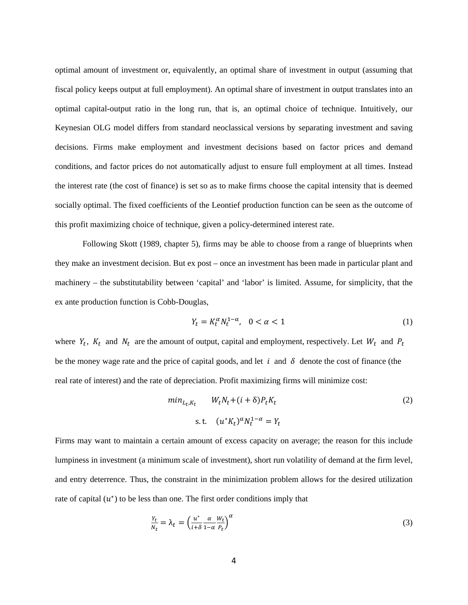optimal amount of investment or, equivalently, an optimal share of investment in output (assuming that fiscal policy keeps output at full employment). An optimal share of investment in output translates into an optimal capital-output ratio in the long run, that is, an optimal choice of technique. Intuitively, our Keynesian OLG model differs from standard neoclassical versions by separating investment and saving decisions. Firms make employment and investment decisions based on factor prices and demand conditions, and factor prices do not automatically adjust to ensure full employment at all times. Instead the interest rate (the cost of finance) is set so as to make firms choose the capital intensity that is deemed socially optimal. The fixed coefficients of the Leontief production function can be seen as the outcome of this profit maximizing choice of technique, given a policy-determined interest rate.

Following Skott (1989, chapter 5), firms may be able to choose from a range of blueprints when they make an investment decision. But ex post – once an investment has been made in particular plant and machinery – the substitutability between 'capital' and 'labor' is limited. Assume, for simplicity, that the ex ante production function is Cobb-Douglas,

$$
Y_t = K_t^{\alpha} N_t^{1-\alpha}, \quad 0 < \alpha < 1 \tag{1}
$$

where  $Y_t$ ,  $K_t$  and  $N_t$  are the amount of output, capital and employment, respectively. Let  $W_t$  and  $P_t$ be the money wage rate and the price of capital goods, and let  $i$  and  $\delta$  denote the cost of finance (the real rate of interest) and the rate of depreciation. Profit maximizing firms will minimize cost:

$$
\min_{L_t, K_t} \qquad W_t N_t + (i + \delta) P_t K_t
$$
\n
$$
\text{s.t.} \quad (u^* K_t)^{\alpha} N_t^{1-\alpha} = Y_t
$$
\n
$$
(2)
$$

Firms may want to maintain a certain amount of excess capacity on average; the reason for this include lumpiness in investment (a minimum scale of investment), short run volatility of demand at the firm level, and entry deterrence. Thus, the constraint in the minimization problem allows for the desired utilization rate of capital  $(u^*)$  to be less than one. The first order conditions imply that

$$
\frac{Y_t}{N_t} = \lambda_t = \left(\frac{u^*}{i+\delta} \frac{\alpha}{1-\alpha} \frac{W_t}{P_t}\right)^{\alpha} \tag{3}
$$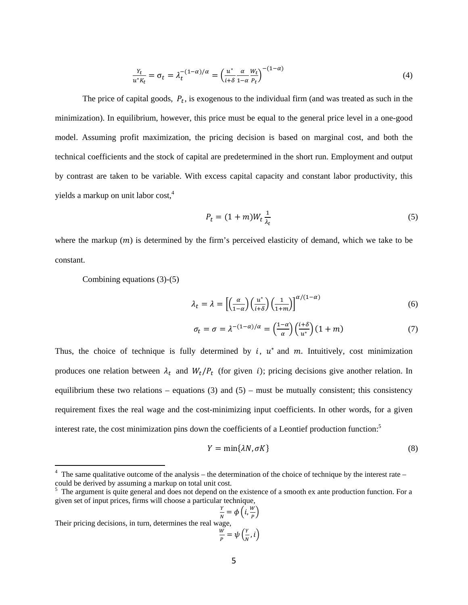$$
\frac{Y_t}{u^* K_t} = \sigma_t = \lambda_t^{-(1-\alpha)/\alpha} = \left(\frac{u^*}{i+\delta} \frac{\alpha}{1-\alpha} \frac{W_t}{P_t}\right)^{-(1-\alpha)}
$$
(4)

The price of capital goods,  $P_t$ , is exogenous to the individual firm (and was treated as such in the minimization). In equilibrium, however, this price must be equal to the general price level in a one-good model. Assuming profit maximization, the pricing decision is based on marginal cost, and both the technical coefficients and the stock of capital are predetermined in the short run. Employment and output by contrast are taken to be variable. With excess capital capacity and constant labor productivity, this yields a markup on unit labor cost.<sup>4</sup>

$$
P_t = (1+m)W_t \frac{1}{\lambda_t} \tag{5}
$$

where the markup  $(m)$  is determined by the firm's perceived elasticity of demand, which we take to be constant.

Combining equations  $(3)-(5)$ 

$$
\lambda_t = \lambda = \left[ \left( \frac{\alpha}{1 - \alpha} \right) \left( \frac{u^*}{i + \delta} \right) \left( \frac{1}{1 + m} \right) \right]^{\alpha / (1 - \alpha)} \tag{6}
$$

$$
\sigma_t = \sigma = \lambda^{-(1-\alpha)/\alpha} = \left(\frac{1-\alpha}{\alpha}\right) \left(\frac{i+\delta}{u^*}\right) (1+m) \tag{7}
$$

Thus, the choice of technique is fully determined by  $i$ ,  $u^*$  and  $m$ . Intuitively, cost minimization produces one relation between  $\lambda_t$  and  $W_t/P_t$  (for given i); pricing decisions give another relation. In equilibrium these two relations – equations (3) and (5) – must be mutually consistent; this consistency requirement fixes the real wage and the cost-minimizing input coefficients. In other words, for a given interest rate, the cost minimization pins down the coefficients of a Leontief production function:<sup>5</sup>

$$
Y = \min\{\lambda N, \sigma K\} \tag{8}
$$

\n
$$
\frac{Y}{N} = \phi\left(i, \frac{W}{P}\right)
$$
\n

\n\n Their pricing decisions, in turn, determines the real wage, \n  $\frac{W}{P} = \psi\left(\frac{Y}{N}, i\right)$ \n

The same qualitative outcome of the analysis – the determination of the choice of technique by the interest rate – could be derived by assuming a markup on total unit cost.

<sup>&</sup>lt;sup>5</sup> The argument is quite general and does not depend on the existence of a smooth ex ante production function. For a given set of input prices, firms will choose a particular technique,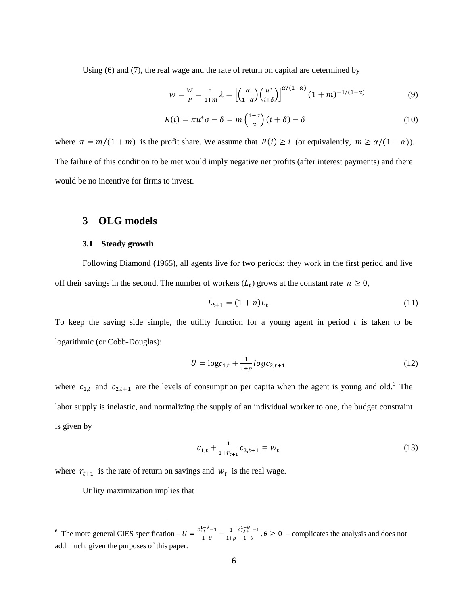Using (6) and (7), the real wage and the rate of return on capital are determined by

$$
w = \frac{w}{P} = \frac{1}{1+m}\lambda = \left[\left(\frac{\alpha}{1-\alpha}\right)\left(\frac{u^*}{i+\delta}\right)\right]^{\alpha/(1-\alpha)}(1+m)^{-1/(1-\alpha)}
$$
(9)

$$
R(i) = \pi u^* \sigma - \delta = m\left(\frac{1-\alpha}{\alpha}\right)(i+\delta) - \delta \tag{10}
$$

where  $\pi = m/(1 + m)$  is the profit share. We assume that  $R(i) \ge i$  (or equivalently,  $m \ge \alpha/(1 - \alpha)$ ). The failure of this condition to be met would imply negative net profits (after interest payments) and there would be no incentive for firms to invest.

### **3 OLG models**

#### **3.1 Steady growth**

Following Diamond (1965), all agents live for two periods: they work in the first period and live off their savings in the second. The number of workers  $(L_t)$  grows at the constant rate  $n \geq 0$ ,

$$
L_{t+1} = (1+n)L_t \tag{11}
$$

To keep the saving side simple, the utility function for a young agent in period  $t$  is taken to be logarithmic (or Cobb-Douglas):

$$
U = \log c_{1,t} + \frac{1}{1+\rho} \log c_{2,t+1}
$$
 (12)

where  $c_{1,t}$  and  $c_{2,t+1}$  are the levels of consumption per capita when the agent is young and old.<sup>6</sup> The labor supply is inelastic, and normalizing the supply of an individual worker to one, the budget constraint is given by

$$
c_{1,t} + \frac{1}{1 + r_{t+1}} c_{2,t+1} = w_t
$$
\n(13)

where  $r_{t+1}$  is the rate of return on savings and  $w_t$  is the real wage.

Utility maximization implies that

<sup>&</sup>lt;sup>6</sup> The more general CIES specification  $-U = \frac{c_{1,\theta}^{1-\theta}-1}{1-\theta} + \frac{1}{1+\rho}$  $\frac{c_{2,t+1}^{1-\theta}-1}{1-\theta}$ ,  $\theta \ge 0$  – complicates the analysis and does not add much, given the purposes of this paper.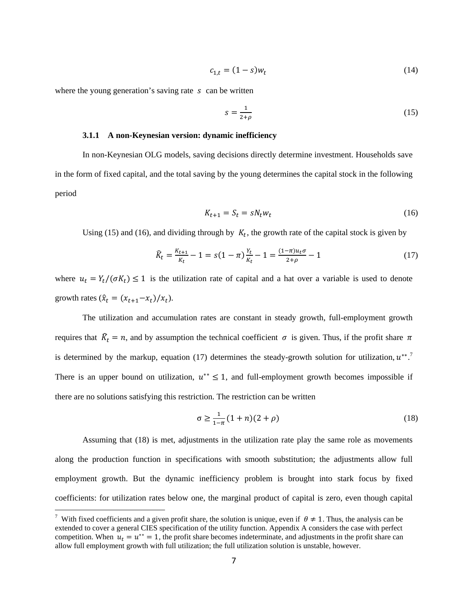$$
c_{1,t} = (1 - s)w_t
$$
 (14)

where the young generation's saving rate  $s$  can be written

$$
s = \frac{1}{2+\rho} \tag{15}
$$

#### 3.1.1 A non-Keynesian version: dynamic inefficiency

In non-Keynesian OLG models, saving decisions directly determine investment. Households save in the form of fixed capital, and the total saving by the young determines the capital stock in the following period

$$
K_{t+1} = S_t = sN_t w_t \tag{16}
$$

Using (15) and (16), and dividing through by  $K_t$ , the growth rate of the capital stock is given by

$$
\widehat{K}_t = \frac{K_{t+1}}{K_t} - 1 = s(1 - \pi) \frac{Y_t}{K_t} - 1 = \frac{(1 - \pi)u_t \sigma}{2 + \rho} - 1
$$
\n(17)

where  $u_t = Y_t/(\sigma K_t) \le 1$  is the utilization rate of capital and a hat over a variable is used to denote growth rates  $(\hat{x}_t = (x_{t+1} - x_t)/x_t)$ .

The utilization and accumulation rates are constant in steady growth, full-employment growth requires that  $\hat{K}_t = n$ , and by assumption the technical coefficient  $\sigma$  is given. Thus, if the profit share  $\pi$ is determined by the markup, equation (17) determines the steady-growth solution for utilization,  $u^{**}$ . There is an upper bound on utilization,  $u^{**} \leq 1$ , and full-employment growth becomes impossible if there are no solutions satisfying this restriction. The restriction can be written

$$
\sigma \ge \frac{1}{1-\pi} (1+n)(2+\rho) \tag{18}
$$

Assuming that (18) is met, adjustments in the utilization rate play the same role as movements along the production function in specifications with smooth substitution; the adjustments allow full employment growth. But the dynamic inefficiency problem is brought into stark focus by fixed coefficients: for utilization rates below one, the marginal product of capital is zero, even though capital

With fixed coefficients and a given profit share, the solution is unique, even if  $\theta \neq 1$ . Thus, the analysis can be extended to cover a general CIES specification of the utility function. Appendix A considers the case with perfect competition. When  $u_t = u^{**} = 1$ , the profit share becomes indeterminate, and adjustments in the profit share can allow full employment growth with full utilization; the full utilization solution is unstable, however.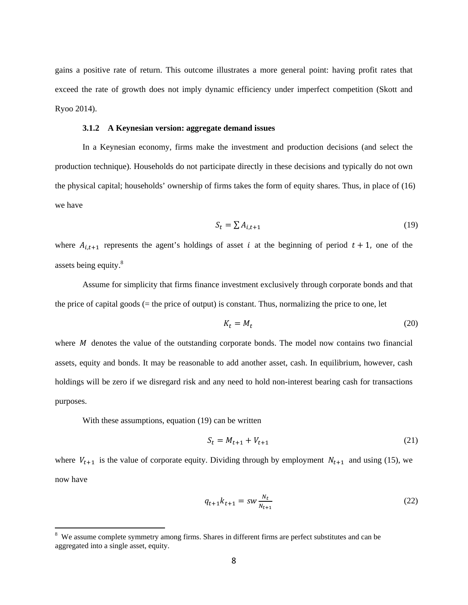gains a positive rate of return. This outcome illustrates a more general point: having profit rates that exceed the rate of growth does not imply dynamic efficiency under imperfect competition (Skott and Ryoo 2014).

#### 3.1.2 A Keynesian version: aggregate demand issues

In a Keynesian economy, firms make the investment and production decisions (and select the production technique). Households do not participate directly in these decisions and typically do not own the physical capital; households' ownership of firms takes the form of equity shares. Thus, in place of (16) we have

$$
S_t = \sum A_{i,t+1} \tag{19}
$$

where  $A_{i,t+1}$  represents the agent's holdings of asset i at the beginning of period  $t + 1$ , one of the assets being equity.<sup>8</sup>

Assume for simplicity that firms finance investment exclusively through corporate bonds and that the price of capital goods  $(=$  the price of output) is constant. Thus, normalizing the price to one, let

$$
K_t = M_t \tag{20}
$$

where  $M$  denotes the value of the outstanding corporate bonds. The model now contains two financial assets, equity and bonds. It may be reasonable to add another asset, cash. In equilibrium, however, cash holdings will be zero if we disregard risk and any need to hold non-interest bearing cash for transactions purposes.

With these assumptions, equation (19) can be written

$$
S_t = M_{t+1} + V_{t+1} \tag{21}
$$

where  $V_{t+1}$  is the value of corporate equity. Dividing through by employment  $N_{t+1}$  and using (15), we now have

$$
q_{t+1}k_{t+1} = sw \frac{N_t}{N_{t+1}}
$$
 (22)

<sup>&</sup>lt;sup>8</sup> We assume complete symmetry among firms. Shares in different firms are perfect substitutes and can be aggregated into a single asset, equity.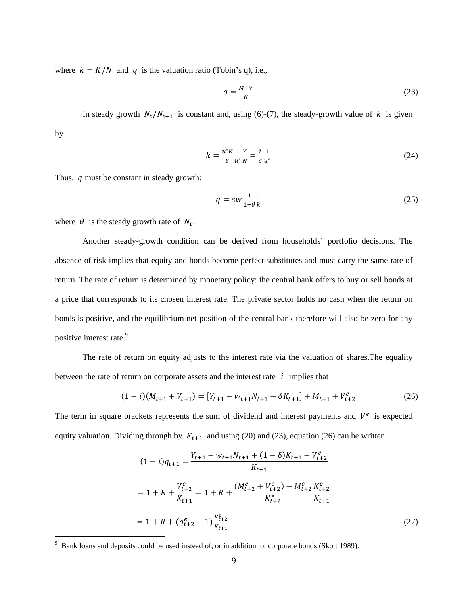where  $k = K/N$  and q is the valuation ratio (Tobin's q), i.e.,

$$
q = \frac{M + V}{K} \tag{23}
$$

In steady growth  $N_t/N_{t+1}$  is constant and, using (6)-(7), the steady-growth value of k is given by

$$
k = \frac{u^* K}{\gamma} \frac{1}{u^* N} = \frac{\lambda}{\sigma} \frac{1}{u^*}
$$
 (24)

Thus,  $q$  must be constant in steady growth:

$$
q = sw \frac{1}{1+\theta} \frac{1}{k} \tag{25}
$$

where  $\theta$  is the steady growth rate of  $N_t$ .

Another steady-growth condition can be derived from households' portfolio decisions. The absence of risk implies that equity and bonds become perfect substitutes and must carry the same rate of return. The rate of return is determined by monetary policy: the central bank offers to buy or sell bonds at a price that corresponds to its chosen interest rate. The private sector holds no cash when the return on bonds is positive, and the equilibrium net position of the central bank therefore will also be zero for any positive interest rate.<sup>9</sup>

The rate of return on equity adjusts to the interest rate via the valuation of shares.The equality between the rate of return on corporate assets and the interest rate *i* implies that

$$
(1+i)(M_{t+1} + V_{t+1}) = [Y_{t+1} - w_{t+1}N_{t+1} - \delta K_{t+1}] + M_{t+1} + V_{t+2}^e
$$
 (26)

The term in square brackets represents the sum of dividend and interest payments and  $V^e$  is expected equity valuation. Dividing through by  $K_{t+1}$  and using (20) and (23), equation (26) can be written

$$
(1+i)q_{t+1} = \frac{Y_{t+1} - w_{t+1}N_{t+1} + (1-\delta)K_{t+1} + V_{t+2}^e}{K_{t+1}}
$$
  
= 1 + R +  $\frac{V_{t+2}^e}{K_{t+1}}$  = 1 + R +  $\frac{(M_{t+2}^e + V_{t+2}^e) - M_{t+2}^e K_{t+2}^e}{K_{t+2}^*}$   
= 1 + R +  $(q_{t+2}^e - 1)\frac{K_{t+2}^e}{K_{t+1}}$  (27)

<sup>&</sup>lt;sup>9</sup> Bank loans and deposits could be used instead of, or in addition to, corporate bonds (Skott 1989).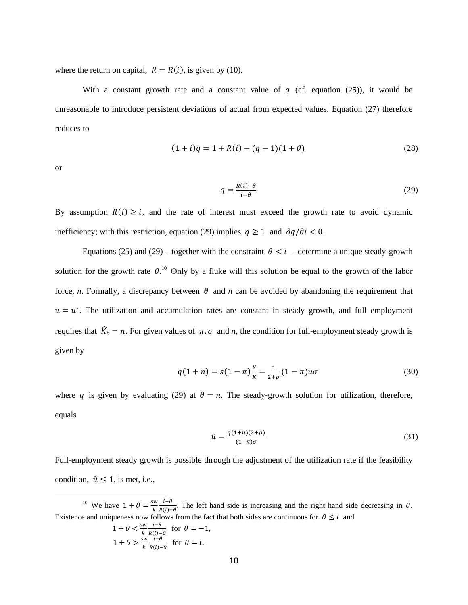where the return on capital,  $R = R(i)$ , is given by (10).

With a constant growth rate and a constant value of  $q$  (cf. equation (25)), it would be unreasonable to introduce persistent deviations of actual from expected values. Equation (27) therefore reduces to

$$
(1+i)q = 1 + R(i) + (q-1)(1+\theta)
$$
\n(28)

**or** 

$$
q = \frac{R(i) - \theta}{i - \theta} \tag{29}
$$

By assumption  $R(i) \geq i$ , and the rate of interest must exceed the growth rate to avoid dynamic inefficiency; with this restriction, equation (29) implies  $q \ge 1$  and  $\partial q / \partial i < 0$ .

Equations (25) and (29) – together with the constraint  $\theta < i$  – determine a unique steady-growth solution for the growth rate  $\theta$ <sup>10</sup>. Only by a fluke will this solution be equal to the growth of the labor force, *n*. Formally, a discrepancy between  $\theta$  and *n* can be avoided by abandoning the requirement that  $u = u^*$ . The utilization and accumulation rates are constant in steady growth, and full employment requires that  $\hat{R}_t = n$ . For given values of  $\pi, \sigma$  and n, the condition for full-employment steady growth is given by

$$
q(1+n) = s(1-\pi)\frac{Y}{K} = \frac{1}{2+\rho}(1-\pi)u\sigma
$$
\n(30)

where q is given by evaluating (29) at  $\theta = n$ . The steady-growth solution for utilization, therefore, equals

$$
\tilde{u} = \frac{q(1+n)(2+\rho)}{(1-\pi)\sigma} \tag{31}
$$

Full-employment steady growth is possible through the adjustment of the utilization rate if the feasibility condition,  $\tilde{u} \leq 1$ , is met, i.e.,

<sup>10</sup> We have  $1 + \theta = \frac{sw}{k} \frac{i-\theta}{R(i)-\theta}$ . The left hand side is increasing and the right hand side decreasing in  $\theta$ . Existence and uniqueness now follows from the fact that both sides are continuous for  $\theta \le i$  and

$$
1 + \theta < \frac{sw}{k} \frac{i - \theta}{R(i) - \theta} \quad \text{for} \quad \theta = -1,
$$
\n
$$
1 + \theta > \frac{sw}{k} \frac{i - \theta}{R(i) - \theta} \quad \text{for} \quad \theta = i.
$$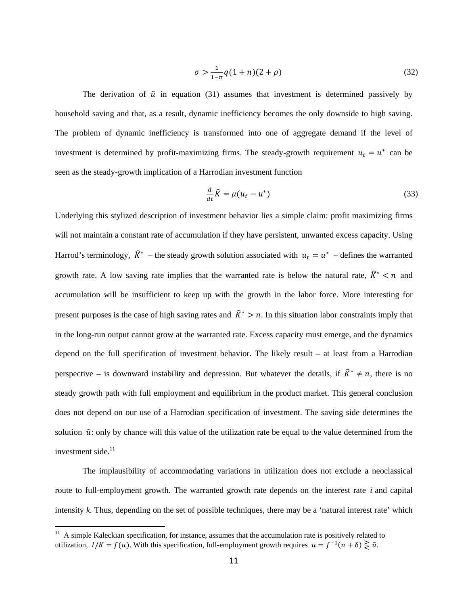$$
\sigma > \frac{1}{1-\pi} q(1+n)(2+\rho) \tag{32}
$$

The derivation of  $\tilde{u}$  in equation (31) assumes that investment is determined passively by household saving and that, as a result, dynamic inefficiency becomes the only downside to high saving. The problem of dynamic inefficiency is transformed into one of aggregate demand if the level of investment is determined by profit-maximizing firms. The steady-growth requirement  $u_t = u^*$  can be seen as the steady-growth implication of a Harrodian investment function

$$
\frac{d}{dt}\hat{K} = \mu(u_t - u^*)
$$
\n(33)

Underlying this stylized description of investment behavior lies a simple claim: profit maximizing firms will not maintain a constant rate of accumulation if they have persistent, unwanted excess capacity. Using Harrod's terminology,  $\hat{K}^*$  – the steady growth solution associated with  $u_t = u^*$  – defines the warranted growth rate. A low saving rate implies that the warranted rate is below the natural rate,  $\hat{K}^* \le n$  and accumulation will be insufficient to keep up with the growth in the labor force. More interesting for present purposes is the case of high saving rates and  $\hat{K}^* > n$ . In this situation labor constraints imply that in the long-run output cannot grow at the warranted rate. Excess capacity must emerge, and the dynamics depend on the full specification of investment behavior. The likely result - at least from a Harrodian perspective – is downward instability and depression. But whatever the details, if  $\hat{K}^* \neq n$ , there is no steady growth path with full employment and equilibrium in the product market. This general conclusion does not depend on our use of a Harrodian specification of investment. The saving side determines the solution  $\tilde{u}$ : only by chance will this value of the utilization rate be equal to the value determined from the investment side.<sup>11</sup>

The implausibility of accommodating variations in utilization does not exclude a neoclassical route to full-employment growth. The warranted growth rate depends on the interest rate *i* and capital intensity  $k$ . Thus, depending on the set of possible techniques, there may be a 'natural interest rate' which

<sup>&</sup>lt;sup>11</sup> A simple Kaleckian specification, for instance, assumes that the accumulation rate is positively related to utilization,  $I/K = f(u)$ . With this specification, full-employment growth requires  $u = f^{-1}(n + \delta) \ge \tilde{u}$ .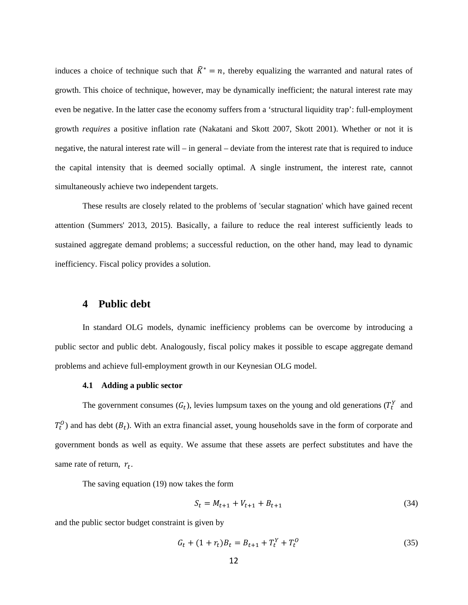induces a choice of technique such that  $\hat{R}^* = n$ , thereby equalizing the warranted and natural rates of growth. This choice of technique, however, may be dynamically inefficient; the natural interest rate may even be negative. In the latter case the economy suffers from a 'structural liquidity trap': full-employment growth *requires* a positive inflation rate (Nakatani and Skott 2007, Skott 2001). Whether or not it is negative, the natural interest rate will – in general – deviate from the interest rate that is required to induce the capital intensity that is deemed socially optimal. A single instrument, the interest rate, cannot simultaneously achieve two independent targets.

These results are closely related to the problems of 'secular stagnation' which have gained recent attention (Summers' 2013, 2015). Basically, a failure to reduce the real interest sufficiently leads to sustained aggregate demand problems; a successful reduction, on the other hand, may lead to dynamic inefficiency. Fiscal policy provides a solution.

#### $\overline{\mathbf{4}}$ **Public debt**

In standard OLG models, dynamic inefficiency problems can be overcome by introducing a public sector and public debt. Analogously, fiscal policy makes it possible to escape aggregate demand problems and achieve full-employment growth in our Keynesian OLG model.

#### 4.1 Adding a public sector

The government consumes  $(G_t)$ , levies lumpsum taxes on the young and old generations  $(T_t^Y$  and  $T_t^0$ ) and has debt  $(B_t)$ . With an extra financial asset, young households save in the form of corporate and government bonds as well as equity. We assume that these assets are perfect substitutes and have the same rate of return,  $r_t$ .

The saving equation (19) now takes the form

$$
S_t = M_{t+1} + V_{t+1} + B_{t+1}
$$
\n(34)

and the public sector budget constraint is given by

$$
G_t + (1 + r_t)B_t = B_{t+1} + T_t^Y + T_t^0
$$
\n(35)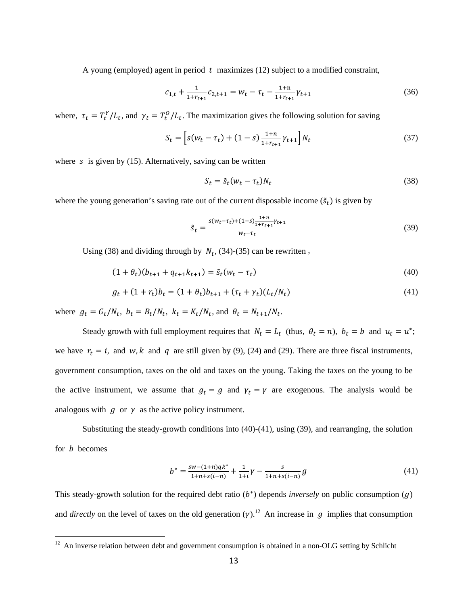A young (employed) agent in period  $t$  maximizes (12) subject to a modified constraint,

$$
c_{1,t} + \frac{1}{1 + r_{t+1}} c_{2,t+1} = w_t - \tau_t - \frac{1 + n}{1 + r_{t+1}} \gamma_{t+1}
$$
\n(36)

where,  $\tau_t = T_t^Y / L_t$ , and  $\gamma_t = T_t^0 / L_t$ . The maximization gives the following solution for saving

$$
S_t = \left[ s(w_t - \tau_t) + (1 - s) \frac{1 + n}{1 + r_{t+1}} \gamma_{t+1} \right] N_t \tag{37}
$$

where  $\bar{s}$  is given by (15). Alternatively, saving can be written

$$
S_t = \tilde{s}_t (w_t - \tau_t) N_t \tag{38}
$$

where the young generation's saving rate out of the current disposable income  $(\tilde{s}_t)$  is given by

$$
\tilde{s}_t = \frac{s(w_t - \tau_t) + (1 - s)\frac{1 + n}{1 + r_{t+1}} \gamma_{t+1}}{w_t - \tau_t} \tag{39}
$$

Using (38) and dividing through by  $N_t$ , (34)-(35) can be rewritten,

$$
(1 + \theta_t)(b_{t+1} + q_{t+1}k_{t+1}) = \tilde{s}_t(w_t - \tau_t)
$$
\n(40)

$$
g_t + (1 + r_t) b_t = (1 + \theta_t) b_{t+1} + (r_t + \gamma_t) (L_t / N_t)
$$
\n(41)

where  $g_t = G_t/N_t$ ,  $b_t = B_t/N_t$ ,  $k_t = K_t/N_t$ , and  $\theta_t = N_{t+1}/N_t$ .

Steady growth with full employment requires that  $N_t = L_t$  (thus,  $\theta_t = n$ ),  $b_t = b$  and  $u_t = u^*$ ; we have  $r_t = i$ , and w, k and q are still given by (9), (24) and (29). There are three fiscal instruments, government consumption, taxes on the old and taxes on the young. Taking the taxes on the young to be the active instrument, we assume that  $g_t = g$  and  $\gamma_t = \gamma$  are exogenous. The analysis would be analogous with  $g$  or  $\gamma$  as the active policy instrument.

Substituting the steady-growth conditions into (40)-(41), using (39), and rearranging, the solution for  $b$  becomes

$$
b^* = \frac{sw - (1+n)qk^*}{1+n+s(i-n)} + \frac{1}{1+i}\gamma - \frac{s}{1+n+s(i-n)}g\tag{41}
$$

This steady-growth solution for the required debt ratio  $(b<sup>*</sup>)$  depends *inversely* on public consumption  $(q)$ and *directly* on the level of taxes on the old generation  $(\gamma)$ .<sup>12</sup> An increase in q implies that consumption

 $12$  An inverse relation between debt and government consumption is obtained in a non-OLG setting by Schlicht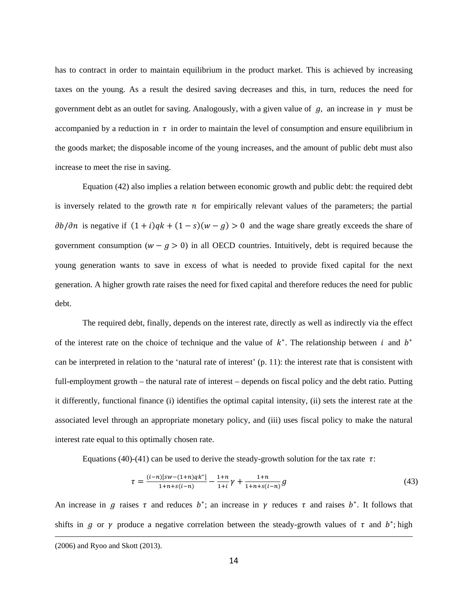has to contract in order to maintain equilibrium in the product market. This is achieved by increasing taxes on the young. As a result the desired saving decreases and this, in turn, reduces the need for government debt as an outlet for saving. Analogously, with a given value of  $g$ , an increase in  $\gamma$  must be accompanied by a reduction in  $\tau$  in order to maintain the level of consumption and ensure equilibrium in the goods market; the disposable income of the young increases, and the amount of public debt must also increase to meet the rise in saving.

Equation (42) also implies a relation between economic growth and public debt: the required debt is inversely related to the growth rate  $n$  for empirically relevant values of the parameters; the partial  $\partial b/\partial n$  is negative if  $(1 + i)qk + (1 - s)(w - g) > 0$  and the wage share greatly exceeds the share of government consumption  $(w - g > 0)$  in all OECD countries. Intuitively, debt is required because the young generation wants to save in excess of what is needed to provide fixed capital for the next generation. A higher growth rate raises the need for fixed capital and therefore reduces the need for public debt.

The required debt, finally, depends on the interest rate, directly as well as indirectly via the effect of the interest rate on the choice of technique and the value of  $k<sup>*</sup>$ . The relationship between i and  $b<sup>*</sup>$ can be interpreted in relation to the 'natural rate of interest' (p. 11): the interest rate that is consistent with full-employment growth – the natural rate of interest – depends on fiscal policy and the debt ratio. Putting it differently, functional finance (i) identifies the optimal capital intensity, (ii) sets the interest rate at the associated level through an appropriate monetary policy, and (iii) uses fiscal policy to make the natural interest rate equal to this optimally chosen rate.

Equations (40)-(41) can be used to derive the steady-growth solution for the tax rate  $\tau$ :

$$
\tau = \frac{(i-n)[sw-(1+n)qk^*]}{1+n+s(i-n)} - \frac{1+n}{1+i}\gamma + \frac{1+n}{1+n+s(i-n)}g\tag{43}
$$

An increase in  $g$  raises  $\tau$  and reduces  $b^*$ ; an increase in  $\gamma$  reduces  $\tau$  and raises  $b^*$ . It follows that shifts in  $g$  or  $\gamma$  produce a negative correlation between the steady-growth values of  $\tau$  and  $b^*$ ; high

<u> 1989 - Jan Samuel Barbara, margaretar a serialdean a serialdean a serialdean a serialdean a serialdean a ser</u>

<sup>(2006)</sup> and Ryoo and Skott (2013).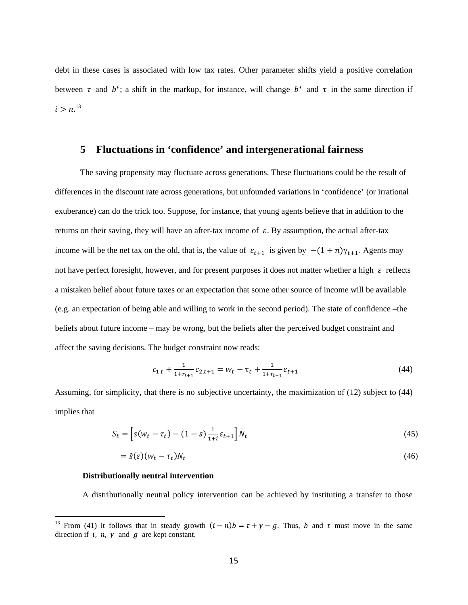debt in these cases is associated with low tax rates. Other parameter shifts yield a positive correlation between  $\tau$  and  $b^*$ ; a shift in the markup, for instance, will change  $b^*$  and  $\tau$  in the same direction if  $i > n^{13}$ 

#### Fluctuations in 'confidence' and intergenerational fairness 5

The saving propensity may fluctuate across generations. These fluctuations could be the result of differences in the discount rate across generations, but unfounded variations in 'confidence' (or irrational exuberance) can do the trick too. Suppose, for instance, that young agents believe that in addition to the returns on their saving, they will have an after-tax income of  $\varepsilon$ . By assumption, the actual after-tax income will be the net tax on the old, that is, the value of  $\varepsilon_{t+1}$  is given by  $-(1+n)\gamma_{t+1}$ . Agents may not have perfect foresight, however, and for present purposes it does not matter whether a high  $\varepsilon$  reflects a mistaken belief about future taxes or an expectation that some other source of income will be available (e.g. an expectation of being able and willing to work in the second period). The state of confidence – the beliefs about future income – may be wrong, but the beliefs alter the perceived budget constraint and affect the saving decisions. The budget constraint now reads:

$$
c_{1,t} + \frac{1}{1 + r_{t+1}} c_{2,t+1} = w_t - \tau_t + \frac{1}{1 + r_{t+1}} \varepsilon_{t+1}
$$
\n(44)

Assuming, for simplicity, that there is no subjective uncertainty, the maximization of (12) subject to (44) implies that

$$
S_t = \left[ s(w_t - \tau_t) - (1 - s) \frac{1}{1 + i} \varepsilon_{t+1} \right] N_t
$$
\n(45)

$$
= \tilde{s}(\varepsilon)(w_t - \tau_t)N_t \tag{46}
$$

#### Distributionally neutral intervention

A distributionally neutral policy intervention can be achieved by instituting a transfer to those

<sup>&</sup>lt;sup>13</sup> From (41) it follows that in steady growth  $(i - n)b = \tau + \gamma - g$ . Thus, b and  $\tau$  must move in the same direction if i, n,  $\nu$  and q are kept constant.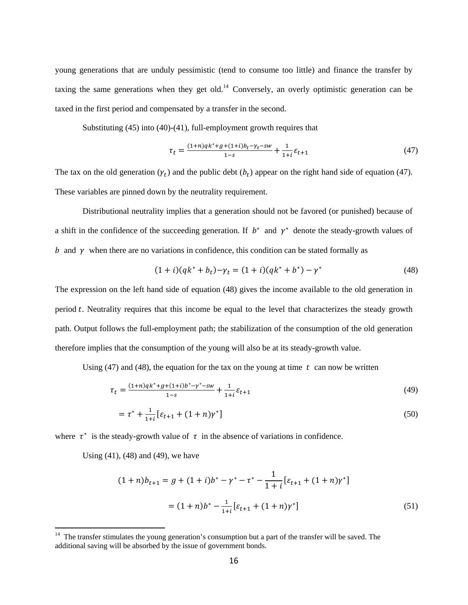young generations that are unduly pessimistic (tend to consume too little) and finance the transfer by taxing the same generations when they get old.<sup>14</sup> Conversely, an overly optimistic generation can be taxed in the first period and compensated by a transfer in the second.

Substituting (45) into (40)-(41), full-employment growth requires that

$$
\tau_t = \frac{(1+n)q k^* + g + (1+i)b_t - \gamma_t - sw}{1-s} + \frac{1}{1+i} \varepsilon_{t+1}
$$
\n(47)

The tax on the old generation  $(\gamma_t)$  and the public debt  $(b_t)$  appear on the right hand side of equation (47). These variables are pinned down by the neutrality requirement.

Distributional neutrality implies that a generation should not be favored (or punished) because of a shift in the confidence of the succeeding generation. If  $b^*$  and  $\gamma^*$  denote the steady-growth values of  $b$  and  $\gamma$  when there are no variations in confidence, this condition can be stated formally as

$$
(1+i)(qk^* + b_t) - \gamma_t = (1+i)(qk^* + b^*) - \gamma^*
$$
\n(48)

The expression on the left hand side of equation (48) gives the income available to the old generation in period  $t$ . Neutrality requires that this income be equal to the level that characterizes the steady growth path. Output follows the full-employment path; the stabilization of the consumption of the old generation therefore implies that the consumption of the young will also be at its steady-growth value.

Using (47) and (48), the equation for the tax on the young at time  $t$  can now be written

$$
\tau_t = \frac{(1+n)q k^* + g + (1+i)b^* - \gamma^* - sw}{1-s} + \frac{1}{1+i} \varepsilon_{t+1} \tag{49}
$$

$$
= \tau^* + \frac{1}{1+i} \left[ \varepsilon_{t+1} + (1+n) \gamma^* \right] \tag{50}
$$

where  $\tau^*$  is the steady-growth value of  $\tau$  in the absence of variations in confidence.

Using (41), (48) and (49), we have

$$
(1+n)b_{t+1} = g + (1+i)b^* - \gamma^* - \tau^* - \frac{1}{1+i} [\varepsilon_{t+1} + (1+n)\gamma^*]
$$
  
= 
$$
(1+n)b^* - \frac{1}{1+i} [\varepsilon_{t+1} + (1+n)\gamma^*]
$$
 (51)

 $14$  The transfer stimulates the young generation's consumption but a part of the transfer will be saved. The additional saving will be absorbed by the issue of government bonds.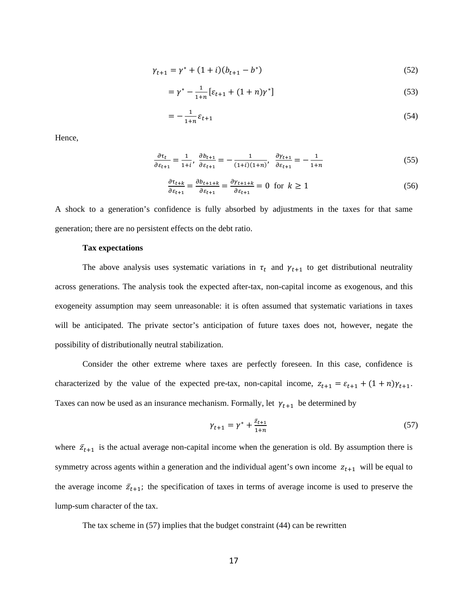$$
\gamma_{t+1} = \gamma^* + (1+i)(b_{t+1} - b^*)
$$
\n(52)

$$
= \gamma^* - \frac{1}{1+n} \left[ \varepsilon_{t+1} + (1+n)\gamma^* \right] \tag{53}
$$

$$
= -\frac{1}{1+n} \varepsilon_{t+1} \tag{54}
$$

Hence,

$$
\frac{\partial \tau_t}{\partial \varepsilon_{t+1}} = \frac{1}{1+i}, \frac{\partial b_{t+1}}{\partial \varepsilon_{t+1}} = -\frac{1}{(1+i)(1+n)}, \frac{\partial \gamma_{t+1}}{\partial \varepsilon_{t+1}} = -\frac{1}{1+n} \tag{55}
$$

$$
\frac{\partial \tau_{t+k}}{\partial \varepsilon_{t+1}} = \frac{\partial b_{t+1+k}}{\partial \varepsilon_{t+1}} = \frac{\partial \gamma_{t+1+k}}{\partial \varepsilon_{t+1}} = 0 \text{ for } k \ge 1
$$
\n
$$
(56)
$$

A shock to a generation's confidence is fully absorbed by adjustments in the taxes for that same generation; there are no persistent effects on the debt ratio.

#### **Tax expectations**

The above analysis uses systematic variations in  $\tau_t$  and  $\gamma_{t+1}$  to get distributional neutrality across generations. The analysis took the expected after-tax, non-capital income as exogenous, and this exogeneity assumption may seem unreasonable: it is often assumed that systematic variations in taxes will be anticipated. The private sector's anticipation of future taxes does not, however, negate the possibility of distributionally neutral stabilization.

Consider the other extreme where taxes are perfectly foreseen. In this case, confidence is characterized by the value of the expected pre-tax, non-capital income,  $z_{t+1} = \varepsilon_{t+1} + (1+n)\gamma_{t+1}$ . Taxes can now be used as an insurance mechanism. Formally, let  $\gamma_{t+1}$  be determined by

$$
\gamma_{t+1} = \gamma^* + \frac{\bar{z}_{t+1}}{1+n} \tag{57}
$$

where  $\bar{z}_{t+1}$  is the actual average non-capital income when the generation is old. By assumption there is symmetry across agents within a generation and the individual agent's own income  $z_{t+1}$  will be equal to the average income  $\bar{z}_{t+1}$ ; the specification of taxes in terms of average income is used to preserve the lump-sum character of the tax.

The tax scheme in  $(57)$  implies that the budget constraint  $(44)$  can be rewritten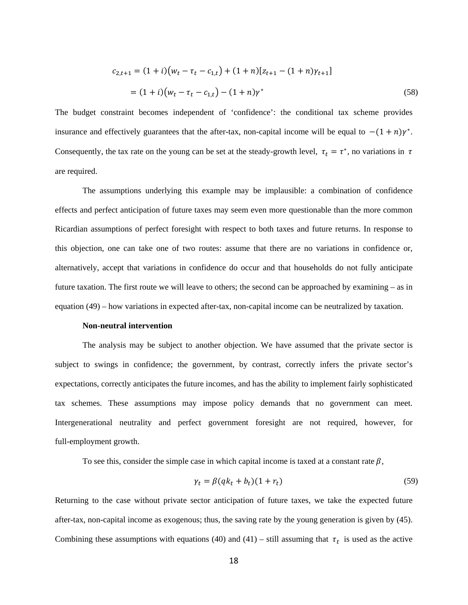$$
c_{2,t+1} = (1+i)(w_t - \tau_t - c_{1,t}) + (1+n)[z_{t+1} - (1+n)\gamma_{t+1}]
$$
  
=  $(1+i)(w_t - \tau_t - c_{1,t}) - (1+n)\gamma^*$  (58)

The budget constraint becomes independent of 'confidence': the conditional tax scheme provides insurance and effectively guarantees that the after-tax, non-capital income will be equal to  $-(1 + n)\gamma^*$ . Consequently, the tax rate on the young can be set at the steady-growth level,  $\tau_t = \tau^*$ , no variations in  $\tau$ are required.

The assumptions underlying this example may be implausible: a combination of confidence effects and perfect anticipation of future taxes may seem even more questionable than the more common Ricardian assumptions of perfect foresight with respect to both taxes and future returns. In response to this objection, one can take one of two routes: assume that there are no variations in confidence or, alternatively, accept that variations in confidence do occur and that households do not fully anticipate future taxation. The first route we will leave to others; the second can be approached by examining – as in equation (49) – how variations in expected after-tax, non-capital income can be neutralized by taxation.

#### **Non-neutral intervention**

The analysis may be subject to another objection. We have assumed that the private sector is subject to swings in confidence; the government, by contrast, correctly infers the private sector's expectations, correctly anticipates the future incomes, and has the ability to implement fairly sophisticated tax schemes. These assumptions may impose policy demands that no government can meet. Intergenerational neutrality and perfect government foresight are not required, however, for full-employment growth.

To see this, consider the simple case in which capital income is taxed at a constant rate  $\beta$ ,

$$
\gamma_t = \beta (q k_t + b_t)(1 + r_t) \tag{59}
$$

Returning to the case without private sector anticipation of future taxes, we take the expected future after-tax, non-capital income as exogenous; thus, the saving rate by the young generation is given by (45). Combining these assumptions with equations (40) and (41) – still assuming that  $\tau_t$  is used as the active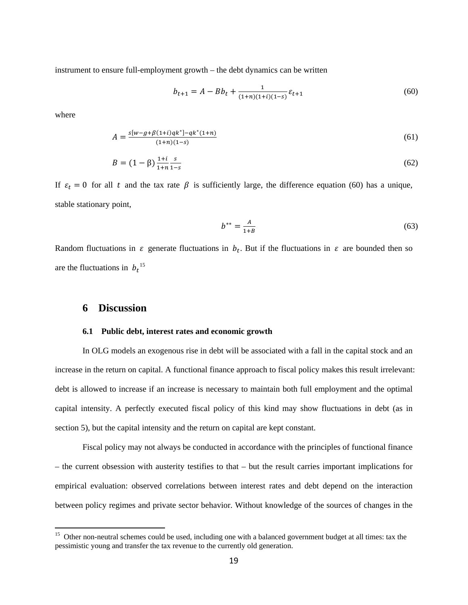instrument to ensure full-employment growth – the debt dynamics can be written

$$
b_{t+1} = A - Bb_t + \frac{1}{(1+n)(1+i)(1-s)} \varepsilon_{t+1}
$$
\n
$$
(60)
$$

where

$$
A = \frac{s[w - g + \beta(1+i)qk^*] - qk^*(1+n)}{(1+n)(1-s)}
$$
(61)

$$
B = (1 - \beta) \frac{1 + i}{1 + n} \frac{s}{1 - s} \tag{62}
$$

If  $\varepsilon_t = 0$  for all t and the tax rate  $\beta$  is sufficiently large, the difference equation (60) has a unique, stable stationary point,

$$
b^{**} = \frac{A}{1+B} \tag{63}
$$

Random fluctuations in  $\varepsilon$  generate fluctuations in  $b_t$ . But if the fluctuations in  $\varepsilon$  are bounded then so are the fluctuations in  $b_t$ <sup>15</sup>

# **6 Discussion**

#### **6.1 Public debt, interest rates and economic growth**

In OLG models an exogenous rise in debt will be associated with a fall in the capital stock and an increase in the return on capital. A functional finance approach to fiscal policy makes this result irrelevant: debt is allowed to increase if an increase is necessary to maintain both full employment and the optimal capital intensity. A perfectly executed fiscal policy of this kind may show fluctuations in debt (as in section 5), but the capital intensity and the return on capital are kept constant.

Fiscal policy may not always be conducted in accordance with the principles of functional finance – the current obsession with austerity testifies to that – but the result carries important implications for empirical evaluation: observed correlations between interest rates and debt depend on the interaction between policy regimes and private sector behavior. Without knowledge of the sources of changes in the

<sup>&</sup>lt;sup>15</sup> Other non-neutral schemes could be used, including one with a balanced government budget at all times: tax the pessimistic young and transfer the tax revenue to the currently old generation.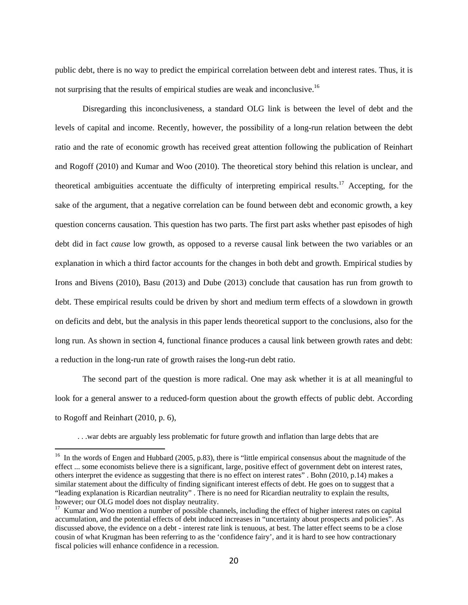public debt, there is no way to predict the empirical correlation between debt and interest rates. Thus, it is not surprising that the results of empirical studies are weak and inconclusive.<sup>16</sup>

Disregarding this inconclusiveness, a standard OLG link is between the level of debt and the levels of capital and income. Recently, however, the possibility of a long-run relation between the debt ratio and the rate of economic growth has received great attention following the publication of Reinhart and Rogoff (2010) and Kumar and Woo (2010). The theoretical story behind this relation is unclear, and theoretical ambiguities accentuate the difficulty of interpreting empirical results.<sup>17</sup> Accepting, for the sake of the argument, that a negative correlation can be found between debt and economic growth, a key question concerns causation. This question has two parts. The first part asks whether past episodes of high debt did in fact *cause* low growth, as opposed to a reverse causal link between the two variables or an explanation in which a third factor accounts for the changes in both debt and growth. Empirical studies by Irons and Bivens (2010), Basu (2013) and Dube (2013) conclude that causation has run from growth to debt. These empirical results could be driven by short and medium term effects of a slowdown in growth on deficits and debt, but the analysis in this paper lends theoretical support to the conclusions, also for the long run. As shown in section 4, functional finance produces a causal link between growth rates and debt: a reduction in the long-run rate of growth raises the long-run debt ratio.

The second part of the question is more radical. One may ask whether it is at all meaningful to look for a general answer to a reduced-form question about the growth effects of public debt. According to Rogoff and Reinhart (2010, p. 6),

. . .war debts are arguably less problematic for future growth and inflation than large debts that are

<sup>&</sup>lt;sup>16</sup> In the words of Engen and Hubbard (2005, p.83), there is "little empirical consensus about the magnitude of the effect ... some economists believe there is a significant, large, positive effect of government debt on interest rates, others interpret the evidence as suggesting that there is no effect on interest rates" . Bohn (2010, p.14) makes a similar statement about the difficulty of finding significant interest effects of debt. He goes on to suggest that a "leading explanation is Ricardian neutrality" . There is no need for Ricardian neutrality to explain the results, however; our OLG model does not display neutrality.

<sup>&</sup>lt;sup>17</sup> Kumar and Woo mention a number of possible channels, including the effect of higher interest rates on capital accumulation, and the potential effects of debt induced increases in "uncertainty about prospects and policies". As discussed above, the evidence on a debt - interest rate link is tenuous, at best. The latter effect seems to be a close cousin of what Krugman has been referring to as the 'confidence fairy', and it is hard to see how contractionary fiscal policies will enhance confidence in a recession.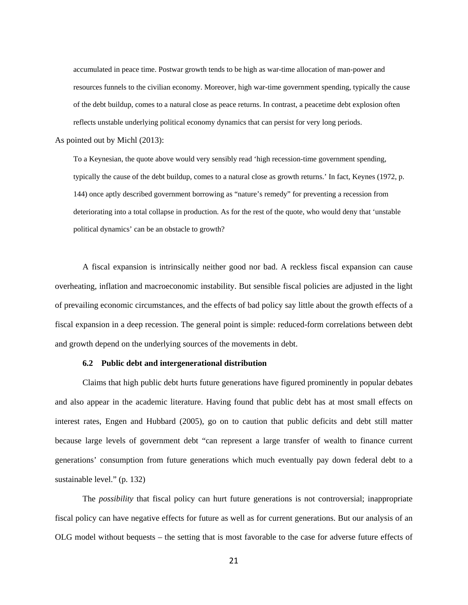accumulated in peace time. Postwar growth tends to be high as war-time allocation of man-power and resources funnels to the civilian economy. Moreover, high war-time government spending, typically the cause of the debt buildup, comes to a natural close as peace returns. In contrast, a peacetime debt explosion often reflects unstable underlying political economy dynamics that can persist for very long periods.

As pointed out by Michl (2013):

To a Keynesian, the quote above would very sensibly read 'high recession-time government spending, typically the cause of the debt buildup, comes to a natural close as growth returns.' In fact, Keynes (1972, p. 144) once aptly described government borrowing as "nature's remedy" for preventing a recession from deteriorating into a total collapse in production. As for the rest of the quote, who would deny that 'unstable political dynamics' can be an obstacle to growth?

A fiscal expansion is intrinsically neither good nor bad. A reckless fiscal expansion can cause overheating, inflation and macroeconomic instability. But sensible fiscal policies are adjusted in the light of prevailing economic circumstances, and the effects of bad policy say little about the growth effects of a fiscal expansion in a deep recession. The general point is simple: reduced-form correlations between debt and growth depend on the underlying sources of the movements in debt.

#### **6.2 Public debt and intergenerational distribution**

Claims that high public debt hurts future generations have figured prominently in popular debates and also appear in the academic literature. Having found that public debt has at most small effects on interest rates, Engen and Hubbard (2005), go on to caution that public deficits and debt still matter because large levels of government debt "can represent a large transfer of wealth to finance current generations' consumption from future generations which much eventually pay down federal debt to a sustainable level." (p. 132)

The *possibility* that fiscal policy can hurt future generations is not controversial; inappropriate fiscal policy can have negative effects for future as well as for current generations. But our analysis of an OLG model without bequests – the setting that is most favorable to the case for adverse future effects of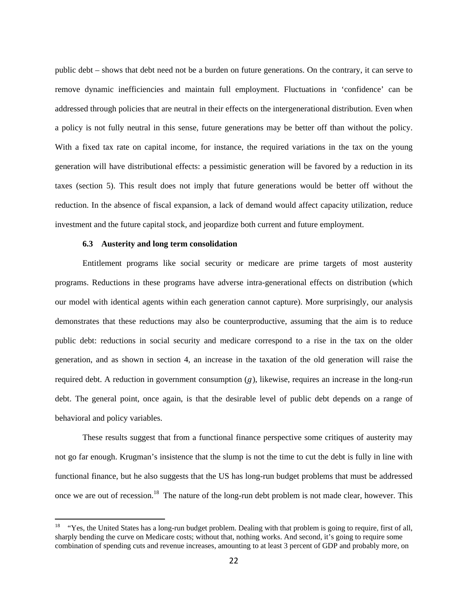public debt – shows that debt need not be a burden on future generations. On the contrary, it can serve to remove dynamic inefficiencies and maintain full employment. Fluctuations in 'confidence' can be addressed through policies that are neutral in their effects on the intergenerational distribution. Even when a policy is not fully neutral in this sense, future generations may be better off than without the policy. With a fixed tax rate on capital income, for instance, the required variations in the tax on the young generation will have distributional effects: a pessimistic generation will be favored by a reduction in its taxes (section 5). This result does not imply that future generations would be better off without the reduction. In the absence of fiscal expansion, a lack of demand would affect capacity utilization, reduce investment and the future capital stock, and jeopardize both current and future employment.

#### **6.3 Austerity and long term consolidation**

Entitlement programs like social security or medicare are prime targets of most austerity programs. Reductions in these programs have adverse intra-generational effects on distribution (which our model with identical agents within each generation cannot capture). More surprisingly, our analysis demonstrates that these reductions may also be counterproductive, assuming that the aim is to reduce public debt: reductions in social security and medicare correspond to a rise in the tax on the older generation, and as shown in section 4, an increase in the taxation of the old generation will raise the required debt. A reduction in government consumption  $(q)$ , likewise, requires an increase in the long-run debt. The general point, once again, is that the desirable level of public debt depends on a range of behavioral and policy variables.

These results suggest that from a functional finance perspective some critiques of austerity may not go far enough. Krugman's insistence that the slump is not the time to cut the debt is fully in line with functional finance, but he also suggests that the US has long-run budget problems that must be addressed once we are out of recession.<sup>18</sup> The nature of the long-run debt problem is not made clear, however. This

 $18$  "Yes, the United States has a long-run budget problem. Dealing with that problem is going to require, first of all, sharply bending the curve on Medicare costs; without that, nothing works. And second, it's going to require some combination of spending cuts and revenue increases, amounting to at least 3 percent of GDP and probably more, on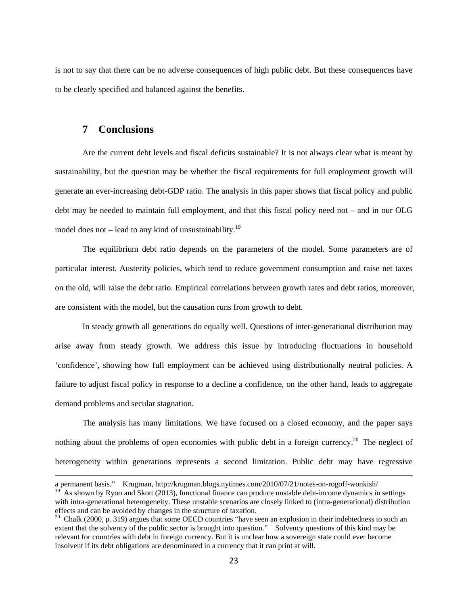is not to say that there can be no adverse consequences of high public debt. But these consequences have to be clearly specified and balanced against the benefits.

# **7 Conclusions**

Are the current debt levels and fiscal deficits sustainable? It is not always clear what is meant by sustainability, but the question may be whether the fiscal requirements for full employment growth will generate an ever-increasing debt-GDP ratio. The analysis in this paper shows that fiscal policy and public debt may be needed to maintain full employment, and that this fiscal policy need not – and in our OLG model does not – lead to any kind of unsustainability.<sup>19</sup>

The equilibrium debt ratio depends on the parameters of the model. Some parameters are of particular interest. Austerity policies, which tend to reduce government consumption and raise net taxes on the old, will raise the debt ratio. Empirical correlations between growth rates and debt ratios, moreover, are consistent with the model, but the causation runs from growth to debt.

In steady growth all generations do equally well. Questions of inter-generational distribution may arise away from steady growth. We address this issue by introducing fluctuations in household 'confidence', showing how full employment can be achieved using distributionally neutral policies. A failure to adjust fiscal policy in response to a decline a confidence, on the other hand, leads to aggregate demand problems and secular stagnation.

The analysis has many limitations. We have focused on a closed economy, and the paper says nothing about the problems of open economies with public debt in a foreign currency.<sup>20</sup> The neglect of heterogeneity within generations represents a second limitation. Public debt may have regressive

<u> 1989 - Jan Samuel Barbara, margaretar a serialdean a serialdean a serialdean a serialdean a serialdean a ser</u>

a permanent basis." Krugman, http://krugman.blogs.nytimes.com/2010/07/21/notes-on-rogoff-wonkish/

As shown by Ryoo and Skott (2013), functional finance can produce unstable debt-income dynamics in settings with intra-generational heterogeneity. These unstable scenarios are closely linked to (intra-generational) distribution effects and can be avoided by changes in the structure of taxation.

 $20$  Chalk (2000, p. 319) argues that some OECD countries "have seen an explosion in their indebtedness to such an extent that the solvency of the public sector is brought into question." Solvency questions of this kind may be relevant for countries with debt in foreign currency. But it is unclear how a sovereign state could ever become insolvent if its debt obligations are denominated in a currency that it can print at will.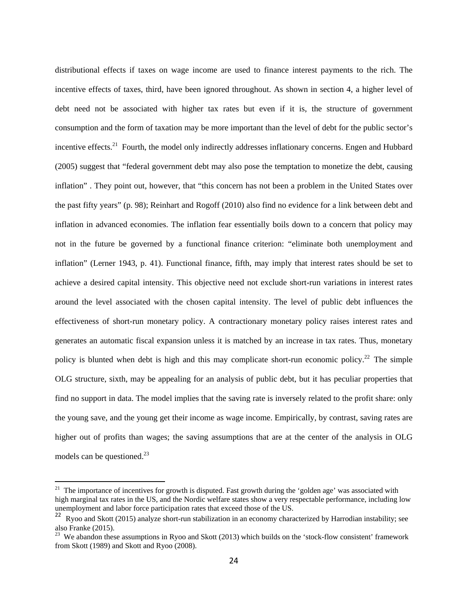distributional effects if taxes on wage income are used to finance interest payments to the rich. The incentive effects of taxes, third, have been ignored throughout. As shown in section 4, a higher level of debt need not be associated with higher tax rates but even if it is, the structure of government consumption and the form of taxation may be more important than the level of debt for the public sector's incentive effects.<sup>21</sup> Fourth, the model only indirectly addresses inflationary concerns. Engen and Hubbard (2005) suggest that "federal government debt may also pose the temptation to monetize the debt, causing inflation" . They point out, however, that "this concern has not been a problem in the United States over the past fifty years" (p. 98); Reinhart and Rogoff (2010) also find no evidence for a link between debt and inflation in advanced economies. The inflation fear essentially boils down to a concern that policy may not in the future be governed by a functional finance criterion: "eliminate both unemployment and inflation" (Lerner 1943, p. 41). Functional finance, fifth, may imply that interest rates should be set to achieve a desired capital intensity. This objective need not exclude short-run variations in interest rates around the level associated with the chosen capital intensity. The level of public debt influences the effectiveness of short-run monetary policy. A contractionary monetary policy raises interest rates and generates an automatic fiscal expansion unless it is matched by an increase in tax rates. Thus, monetary policy is blunted when debt is high and this may complicate short-run economic policy.<sup>22</sup> The simple OLG structure, sixth, may be appealing for an analysis of public debt, but it has peculiar properties that find no support in data. The model implies that the saving rate is inversely related to the profit share: only the young save, and the young get their income as wage income. Empirically, by contrast, saving rates are higher out of profits than wages; the saving assumptions that are at the center of the analysis in OLG models can be questioned. $^{23}$ 

<sup>&</sup>lt;sup>21</sup> The importance of incentives for growth is disputed. Fast growth during the 'golden age' was associated with high marginal tax rates in the US, and the Nordic welfare states show a very respectable performance, including low unemployment and labor force participation rates that exceed those of the US.

<sup>&</sup>lt;sup>22</sup> Ryoo and Skott (2015) analyze short-run stabilization in an economy characterized by Harrodian instability; see also Franke (2015).

 $23$  We abandon these assumptions in Ryoo and Skott (2013) which builds on the 'stock-flow consistent' framework from Skott (1989) and Skott and Ryoo (2008).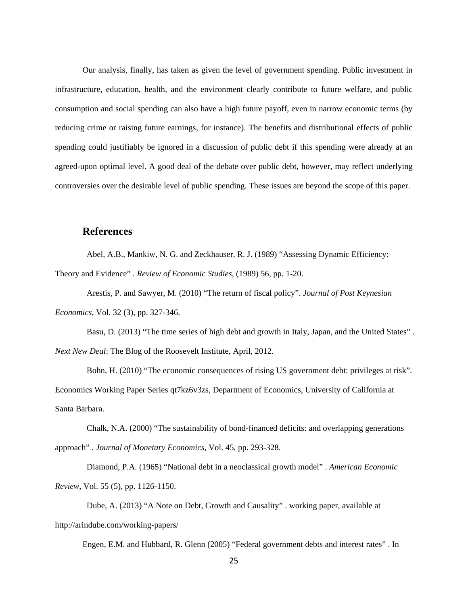Our analysis, finally, has taken as given the level of government spending. Public investment in infrastructure, education, health, and the environment clearly contribute to future welfare, and public consumption and social spending can also have a high future payoff, even in narrow economic terms (by reducing crime or raising future earnings, for instance). The benefits and distributional effects of public spending could justifiably be ignored in a discussion of public debt if this spending were already at an agreed-upon optimal level. A good deal of the debate over public debt, however, may reflect underlying controversies over the desirable level of public spending. These issues are beyond the scope of this paper.

## **References**

Abel, A.B., Mankiw, N. G. and Zeckhauser, R. J. (1989) "Assessing Dynamic Efficiency:

Theory and Evidence" . *Review of Economic Studies*, (1989) 56, pp. 1-20.

 Arestis, P. and Sawyer, M. (2010) "The return of fiscal policy". *Journal of Post Keynesian Economics*, Vol. 32 (3), pp. 327-346.

 Basu, D. (2013) "The time series of high debt and growth in Italy, Japan, and the United States" . *Next New Deal*: The Blog of the Roosevelt Institute, April, 2012.

 Bohn, H. (2010) "The economic consequences of rising US government debt: privileges at risk". Economics Working Paper Series qt7kz6v3zs, Department of Economics, University of California at Santa Barbara.

 Chalk, N.A. (2000) "The sustainability of bond-financed deficits: and overlapping generations approach" . *Journal of Monetary Economics*, Vol. 45, pp. 293-328.

 Diamond, P.A. (1965) "National debt in a neoclassical growth model" . *American Economic Review*, Vol. 55 (5), pp. 1126-1150.

 Dube, A. (2013) "A Note on Debt, Growth and Causality" . working paper, available at http://arindube.com/working-papers/

Engen, E.M. and Hubbard, R. Glenn (2005) "Federal government debts and interest rates" . In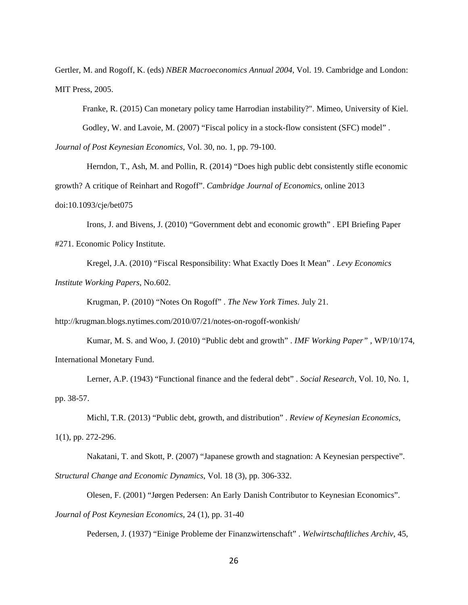Gertler, M. and Rogoff, K. (eds) *NBER Macroeconomics Annual 2004*, Vol. 19. Cambridge and London: MIT Press, 2005.

Franke, R. (2015) Can monetary policy tame Harrodian instability?". Mimeo, University of Kiel.

Godley, W. and Lavoie, M. (2007) "Fiscal policy in a stock-flow consistent (SFC) model".

*Journal of Post Keynesian Economics*, Vol. 30, no. 1, pp. 79-100.

 Herndon, T., Ash, M. and Pollin, R. (2014) "Does high public debt consistently stifle economic growth? A critique of Reinhart and Rogoff". *Cambridge Journal of Economics*, online 2013 doi:10.1093/cje/bet075

 Irons, J. and Bivens, J. (2010) "Government debt and economic growth" . EPI Briefing Paper #271. Economic Policy Institute.

 Kregel, J.A. (2010) "Fiscal Responsibility: What Exactly Does It Mean" . *Levy Economics Institute Working Papers*, No.602.

Krugman, P. (2010) "Notes On Rogoff" . *The New York Times*. July 21.

http://krugman.blogs.nytimes.com/2010/07/21/notes-on-rogoff-wonkish/

 Kumar, M. S. and Woo, J. (2010) "Public debt and growth" . *IMF Working Paper"* , WP/10/174, International Monetary Fund.

 Lerner, A.P. (1943) "Functional finance and the federal debt" . *Social Research*, Vol. 10, No. 1, pp. 38-57.

Michl, T.R. (2013) "Public debt, growth, and distribution" . *Review of Keynesian Economics*,

1(1), pp. 272-296.

Nakatani, T. and Skott, P. (2007) "Japanese growth and stagnation: A Keynesian perspective".

*Structural Change and Economic Dynamics*, Vol. 18 (3), pp. 306-332.

Olesen, F. (2001) "Jørgen Pedersen: An Early Danish Contributor to Keynesian Economics".

*Journal of Post Keynesian Economics*, 24 (1), pp. 31-40

Pedersen, J. (1937) "Einige Probleme der Finanzwirtenschaft" . *Welwirtschaftliches Archiv*, 45,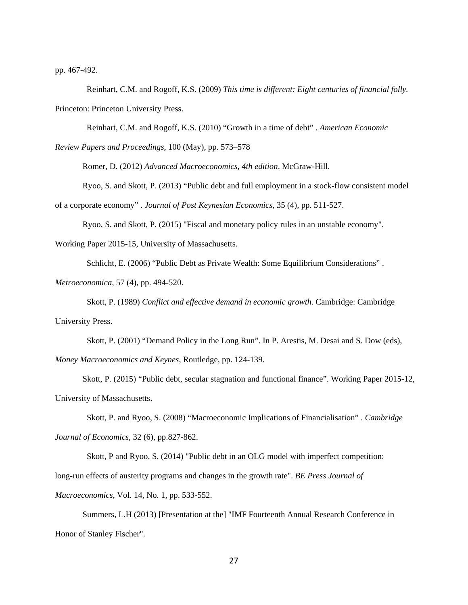pp. 467-492.

 Reinhart, C.M. and Rogoff, K.S. (2009) *This time is different: Eight centuries of financial folly.*  Princeton: Princeton University Press.

Reinhart, C.M. and Rogoff, K.S. (2010) "Growth in a time of debt" . *American Economic* 

*Review Papers and Proceedings*, 100 (May), pp. 573–578

Romer, D. (2012) *Advanced Macroeconomics, 4th edition*. McGraw-Hill.

Ryoo, S. and Skott, P. (2013) "Public debt and full employment in a stock-flow consistent model

of a corporate economy" . *Journal of Post Keynesian Economics*, 35 (4), pp. 511-527.

Ryoo, S. and Skott, P. (2015) "Fiscal and monetary policy rules in an unstable economy".

Working Paper 2015-15, University of Massachusetts.

Schlicht, E. (2006) "Public Debt as Private Wealth: Some Equilibrium Considerations" .

*Metroeconomica*, 57 (4), pp. 494-520.

 Skott, P. (1989) *Conflict and effective demand in economic growth*. Cambridge: Cambridge University Press.

Skott, P. (2001) "Demand Policy in the Long Run". In P. Arestis, M. Desai and S. Dow (eds),

*Money Macroeconomics and Keynes*, Routledge, pp. 124-139.

Skott, P. (2015) "Public debt, secular stagnation and functional finance". Working Paper 2015-12, University of Massachusetts.

 Skott, P. and Ryoo, S. (2008) "Macroeconomic Implications of Financialisation" . *Cambridge Journal of Economics*, 32 (6), pp.827-862.

Skott, P and Ryoo, S. (2014) "Public debt in an OLG model with imperfect competition:

long-run effects of austerity programs and changes in the growth rate". *BE Press Journal of* 

*Macroeconomics*, Vol. 14, No. 1, pp. 533-552.

Summers, L.H (2013) [Presentation at the] "IMF Fourteenth Annual Research Conference in Honor of Stanley Fischer".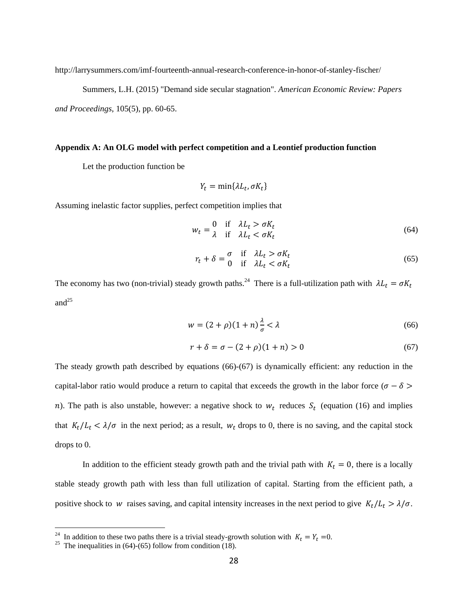http://larrysummers.com/imf-fourteenth-annual-research-conference-in-honor-of-stanley-fischer/

Summers, L.H. (2015) "Demand side secular stagnation". *American Economic Review: Papers* 

*and Proceedings*, 105(5), pp. 60-65.

#### **Appendix A: An OLG model with perfect competition and a Leontief production function**

Let the production function be

$$
Y_t = \min\{\lambda L_t, \sigma K_t\}
$$

Assuming inelastic factor supplies, perfect competition implies that

$$
w_t = \begin{cases} 0 & \text{if } \lambda L_t > \sigma K_t \\ \lambda & \text{if } \lambda L_t < \sigma K_t \end{cases} \tag{64}
$$

$$
r_t + \delta = \begin{cases} \sigma & \text{if } \lambda L_t > \sigma K_t \\ 0 & \text{if } \lambda L_t < \sigma K_t \end{cases}
$$
 (65)

The economy has two (non-trivial) steady growth paths.<sup>24</sup> There is a full-utilization path with  $\lambda L_t = \sigma K_t$ and $^{25}$ 

$$
w = (2 + \rho)(1 + n)\frac{\lambda}{\sigma} < \lambda \tag{66}
$$

$$
r + \delta = \sigma - (2 + \rho)(1 + n) > 0
$$
\n(67)

The steady growth path described by equations (66)-(67) is dynamically efficient: any reduction in the capital-labor ratio would produce a return to capital that exceeds the growth in the labor force ( $\sigma - \delta$ ) n). The path is also unstable, however: a negative shock to  $w_t$  reduces  $S_t$  (equation (16) and implies that  $K_t/L_t < \lambda/\sigma$  in the next period; as a result,  $W_t$  drops to 0, there is no saving, and the capital stock drops to 0.

In addition to the efficient steady growth path and the trivial path with  $K_t = 0$ , there is a locally stable steady growth path with less than full utilization of capital. Starting from the efficient path, a positive shock to w raises saving, and capital intensity increases in the next period to give  $K_t/L_t > \lambda/\sigma$ .

<sup>&</sup>lt;sup>24</sup> In addition to these two paths there is a trivial steady-growth solution with  $K_t = Y_t = 0$ .<br><sup>25</sup> The inequalities in (64)-(65) follow from condition (18).